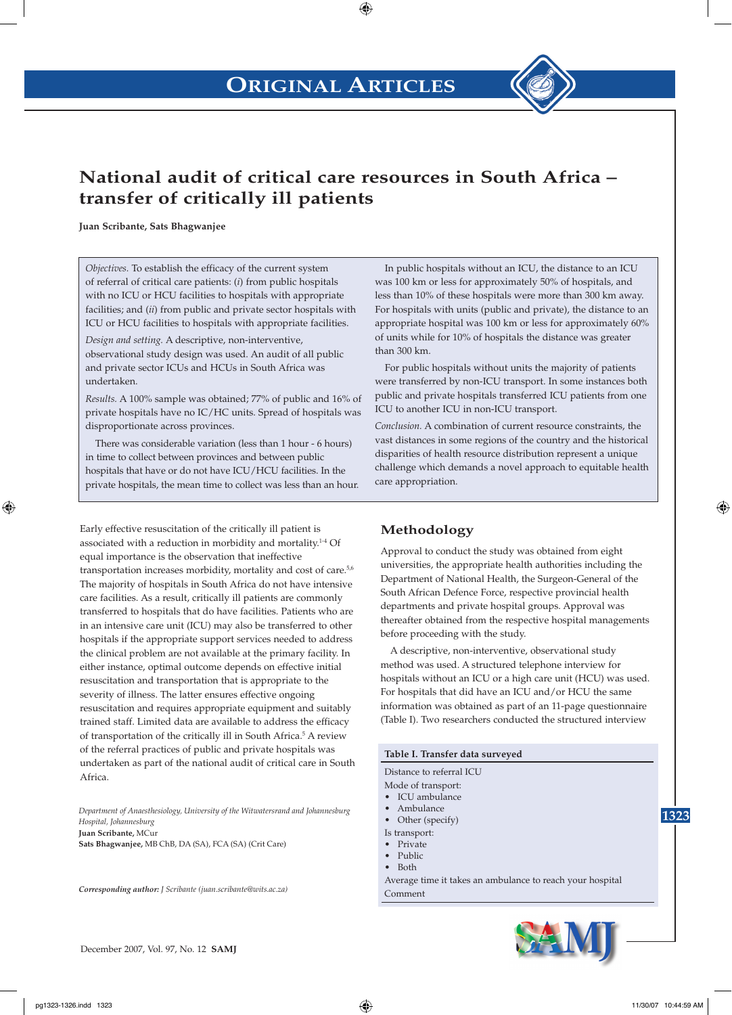

## **National audit of critical care resources in South Africa – transfer of critically ill patients**

**Juan Scribante, Sats Bhagwanjee**

*Objectives.* To establish the efficacy of the current system of referral of critical care patients: (*i*) from public hospitals with no ICU or HCU facilities to hospitals with appropriate facilities; and (*ii*) from public and private sector hospitals with ICU or HCU facilities to hospitals with appropriate facilities.

*Design and setting.* A descriptive, non-interventive, observational study design was used. An audit of all public and private sector ICUs and HCUs in South Africa was undertaken.

*Results.* A 100% sample was obtained; 77% of public and 16% of private hospitals have no IC/HC units. Spread of hospitals was disproportionate across provinces.

There was considerable variation (less than 1 hour - 6 hours) in time to collect between provinces and between public hospitals that have or do not have ICU/HCU facilities. In the private hospitals, the mean time to collect was less than an hour.

Early effective resuscitation of the critically ill patient is associated with a reduction in morbidity and mortality.<sup>1-4</sup> Of equal importance is the observation that ineffective transportation increases morbidity, mortality and cost of care.<sup>5,6</sup> The majority of hospitals in South Africa do not have intensive care facilities. As a result, critically ill patients are commonly transferred to hospitals that do have facilities. Patients who are in an intensive care unit (ICU) may also be transferred to other hospitals if the appropriate support services needed to address the clinical problem are not available at the primary facility. In either instance, optimal outcome depends on effective initial resuscitation and transportation that is appropriate to the severity of illness. The latter ensures effective ongoing resuscitation and requires appropriate equipment and suitably trained staff. Limited data are available to address the efficacy of transportation of the critically ill in South Africa.<sup>5</sup> A review of the referral practices of public and private hospitals was undertaken as part of the national audit of critical care in South Africa.

*Department of Anaesthesiology, University of the Witwatersrand and Johannesburg Hospital, Johannesburg* **Juan Scribante,** MCur **Sats Bhagwanjee,** MB ChB, DA (SA), FCA (SA) (Crit Care)

*Corresponding author: J Scribante (juan.scribante@wits.ac.za)*

In public hospitals without an ICU, the distance to an ICU was 100 km or less for approximately 50% of hospitals, and less than 10% of these hospitals were more than 300 km away. For hospitals with units (public and private), the distance to an appropriate hospital was 100 km or less for approximately 60% of units while for 10% of hospitals the distance was greater than 300 km.

For public hospitals without units the majority of patients were transferred by non-ICU transport. In some instances both public and private hospitals transferred ICU patients from one ICU to another ICU in non-ICU transport.

*Conclusion.* A combination of current resource constraints, the vast distances in some regions of the country and the historical disparities of health resource distribution represent a unique challenge which demands a novel approach to equitable health care appropriation.

### **Methodology**

Approval to conduct the study was obtained from eight universities, the appropriate health authorities including the Department of National Health, the Surgeon-General of the South African Defence Force, respective provincial health departments and private hospital groups. Approval was thereafter obtained from the respective hospital managements before proceeding with the study.

A descriptive, non-interventive, observational study method was used. A structured telephone interview for hospitals without an ICU or a high care unit (HCU) was used. For hospitals that did have an ICU and/or HCU the same information was obtained as part of an 11-page questionnaire (Table I). Two researchers conducted the structured interview

#### **Table I. Transfer data surveyed** Distance to referral ICU Mode of transport:

- ICU ambulance
- Ambulance
- Other (specify)
- Is transport:
- Private
- Public • Both
- Average time it takes an ambulance to reach your hospital Comment

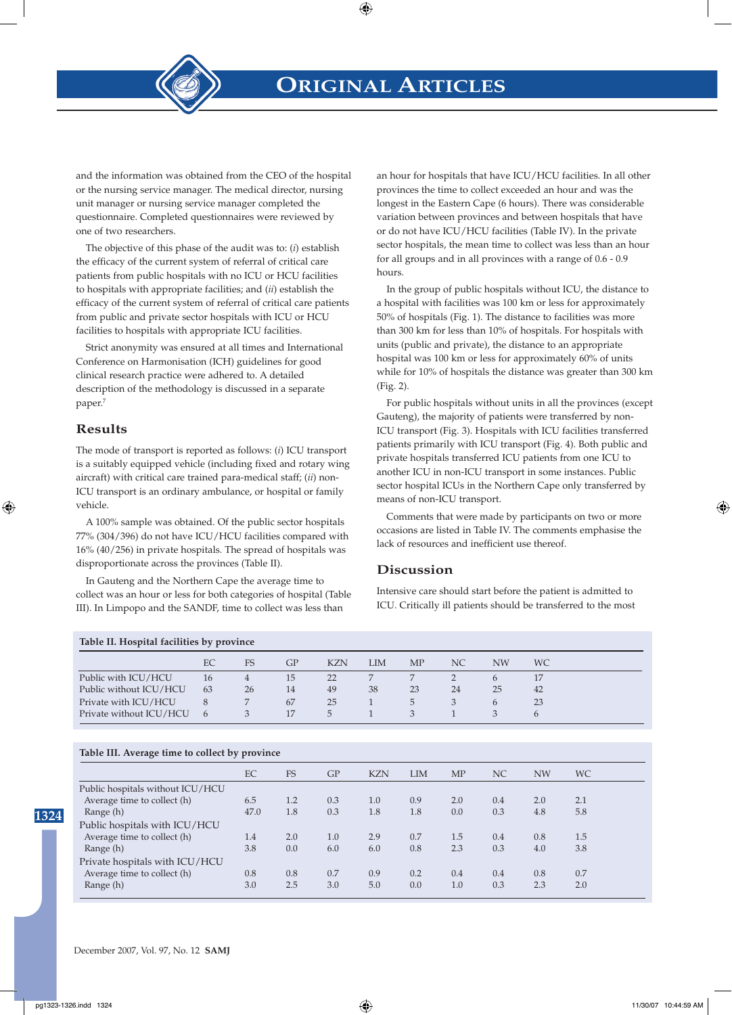**ORIGINAL ARTICLES**



and the information was obtained from the CEO of the hospital or the nursing service manager. The medical director, nursing unit manager or nursing service manager completed the questionnaire. Completed questionnaires were reviewed by one of two researchers.

The objective of this phase of the audit was to: (*i*) establish the efficacy of the current system of referral of critical care patients from public hospitals with no ICU or HCU facilities to hospitals with appropriate facilities; and (*ii*) establish the efficacy of the current system of referral of critical care patients from public and private sector hospitals with ICU or HCU facilities to hospitals with appropriate ICU facilities.

Strict anonymity was ensured at all times and International Conference on Harmonisation (ICH) guidelines for good clinical research practice were adhered to. A detailed description of the methodology is discussed in a separate paper.<sup>7</sup>

#### **Results**

The mode of transport is reported as follows: (*i*) ICU transport is a suitably equipped vehicle (including fixed and rotary wing aircraft) with critical care trained para-medical staff; (*ii*) non-ICU transport is an ordinary ambulance, or hospital or family vehicle.

A 100% sample was obtained. Of the public sector hospitals 77% (304/396) do not have ICU/HCU facilities compared with 16% (40/256) in private hospitals. The spread of hospitals was disproportionate across the provinces (Table II).

In Gauteng and the Northern Cape the average time to collect was an hour or less for both categories of hospital (Table III). In Limpopo and the SANDF, time to collect was less than

an hour for hospitals that have ICU/HCU facilities. In all other provinces the time to collect exceeded an hour and was the longest in the Eastern Cape (6 hours). There was considerable variation between provinces and between hospitals that have or do not have ICU/HCU facilities (Table IV). In the private sector hospitals, the mean time to collect was less than an hour for all groups and in all provinces with a range of 0.6 - 0.9 hours.

In the group of public hospitals without ICU, the distance to a hospital with facilities was 100 km or less for approximately 50% of hospitals (Fig. 1). The distance to facilities was more than 300 km for less than 10% of hospitals. For hospitals with units (public and private), the distance to an appropriate hospital was 100 km or less for approximately 60% of units while for 10% of hospitals the distance was greater than 300 km (Fig. 2).

For public hospitals without units in all the provinces (except Gauteng), the majority of patients were transferred by non-ICU transport (Fig. 3). Hospitals with ICU facilities transferred patients primarily with ICU transport (Fig. 4). Both public and private hospitals transferred ICU patients from one ICU to another ICU in non-ICU transport in some instances. Public sector hospital ICUs in the Northern Cape only transferred by means of non-ICU transport.

Comments that were made by participants on two or more occasions are listed in Table IV. The comments emphasise the lack of resources and inefficient use thereof.

#### **Discussion**

Intensive care should start before the patient is admitted to ICU. Critically ill patients should be transferred to the most

| Table II. Hospital facilities by province |                |    |    |               |     |    |    |               |               |  |  |
|-------------------------------------------|----------------|----|----|---------------|-----|----|----|---------------|---------------|--|--|
|                                           | EC.            | FS | GP | <b>KZN</b>    | LIM | MP | NС | NW            | <b>WC</b>     |  |  |
| Public with ICU/HCU                       | 16             | 4  | 15 | 22            |     |    |    | $\mathfrak b$ | 17            |  |  |
| Public without ICU/HCU                    | 63             | 26 | 14 | 49            | 38  | 23 | 24 | 25            | 42            |  |  |
| Private with ICU/HCU                      | 8              |    | 67 | 25            |     | 5. | 3  | $\mathbf{b}$  | 23            |  |  |
| Private without ICU/HCU                   | $\mathfrak{h}$ | 3  | 17 | $\mathcal{D}$ |     |    |    | 3             | $\mathfrak b$ |  |  |

#### **Table III. Average time to collect by province**

|                                  | EC   | <b>FS</b> | GP  | <b>KZN</b> | <b>LIM</b> | <b>MP</b> | NC  | <b>NW</b> | WC. |  |
|----------------------------------|------|-----------|-----|------------|------------|-----------|-----|-----------|-----|--|
| Public hospitals without ICU/HCU |      |           |     |            |            |           |     |           |     |  |
| Average time to collect (h)      | 6.5  | 1.2       | 0.3 | 1.0        | 0.9        | 2.0       | 0.4 | 2.0       | 2.1 |  |
| Range (h)                        | 47.0 | 1.8       | 0.3 | 1.8        | 1.8        | 0.0       | 0.3 | 4.8       | 5.8 |  |
| Public hospitals with ICU/HCU    |      |           |     |            |            |           |     |           |     |  |
| Average time to collect (h)      | 1.4  | 2.0       | 1.0 | 2.9        | 0.7        | 1.5       | 0.4 | 0.8       | 1.5 |  |
| Range (h)                        | 3.8  | 0.0       | 6.0 | 6.0        | 0.8        | 2.3       | 0.3 | 4.0       | 3.8 |  |
| Private hospitals with ICU/HCU   |      |           |     |            |            |           |     |           |     |  |
| Average time to collect (h)      | 0.8  | 0.8       | 0.7 | 0.9        | 0.2        | 0.4       | 0.4 | 0.8       | 0.7 |  |
| Range (h)                        | 3.0  | 2.5       | 3.0 | 5.0        | 0.0        | 1.0       | 0.3 | 2.3       | 2.0 |  |
|                                  |      |           |     |            |            |           |     |           |     |  |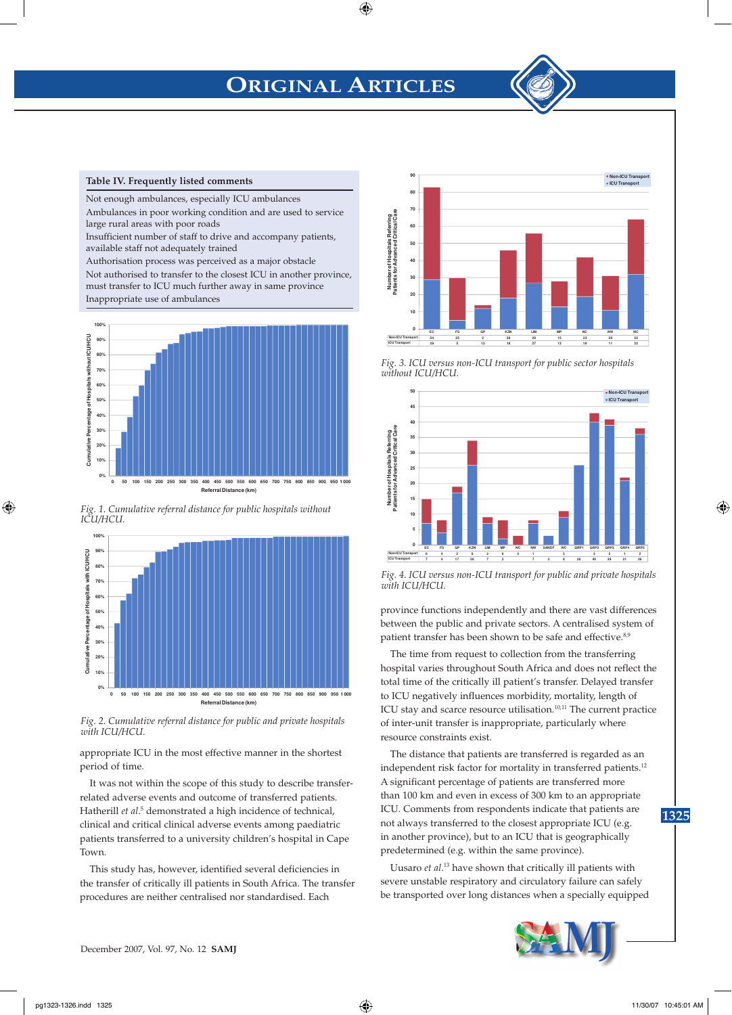# **ORIGINAL ARTICLES**



Not enough ambulances, especially ICU ambulances Ambulances in poor working condition and are used to service large rural areas with poor roads

Insufficient number of staff to drive and accompany patients, available staff not adequately trained

Authorisation process was perceived as a major obstacle Not authorised to transfer to the closest ICU in another province, must transfer to ICU much further away in same province Inappropriate use of ambulances







*Fig. 2. Cumulative referral distance for public and private hospitals with ICU/HCU.*

appropriate ICU in the most effective manner in the shortest period of time.

It was not within the scope of this study to describe transferrelated adverse events and outcome of transferred patients. Hatherill et al.<sup>5</sup> demonstrated a high incidence of technical, clinical and critical clinical adverse events among paediatric patients transferred to a university children's hospital in Cape Town.

This study has, however, identified several deficiencies in the transfer of critically ill patients in South Africa. The transfer procedures are neither centralised nor standardised. Each



*Fig. 3. ICU versus non-ICU transport for public sector hospitals without ICU/HCU.*



*Fig. 4. ICU versus non-ICU transport for public and private hospitals with ICU/HCU.*

province functions independently and there are vast differences between the public and private sectors. A centralised system of patient transfer has been shown to be safe and effective.<sup>8,9</sup>

The time from request to collection from the transferring hospital varies throughout South Africa and does not reflect the total time of the critically ill patient's transfer. Delayed transfer to ICU negatively influences morbidity, mortality, length of ICU stay and scarce resource utilisation.10,11 The current practice of inter-unit transfer is inappropriate, particularly where resource constraints exist.

The distance that patients are transferred is regarded as an independent risk factor for mortality in transferred patients.<sup>12</sup> A significant percentage of patients are transferred more than 100 km and even in excess of 300 km to an appropriate ICU. Comments from respondents indicate that patients are not always transferred to the closest appropriate ICU (e.g. in another province), but to an ICU that is geographically predetermined (e.g. within the same province).

Uusaro *et al*. 13 have shown that critically ill patients with severe unstable respiratory and circulatory failure can safely be transported over long distances when a specially equipped